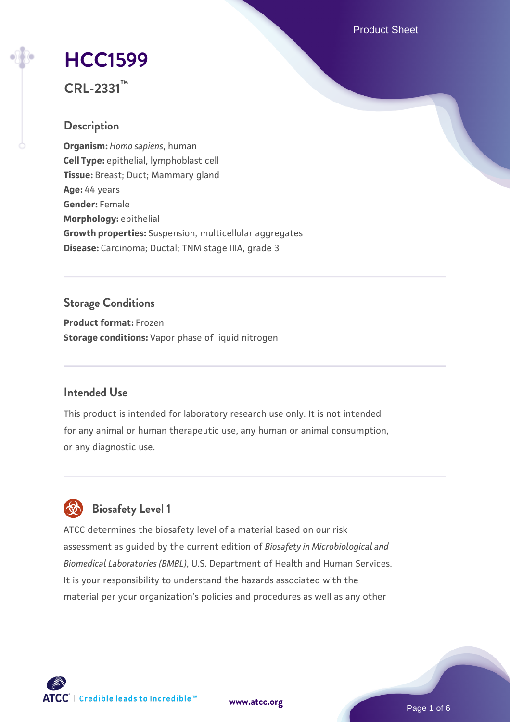Product Sheet

# **[HCC1599](https://www.atcc.org/products/crl-2331)**

**CRL-2331™**

# **Description**

**Organism:** *Homo sapiens*, human **Cell Type:** epithelial, lymphoblast cell **Tissue:** Breast; Duct; Mammary gland **Age:** 44 years **Gender:** Female **Morphology:** epithelial **Growth properties:** Suspension, multicellular aggregates **Disease:** Carcinoma; Ductal; TNM stage IIIA, grade 3

# **Storage Conditions**

**Product format:** Frozen **Storage conditions:** Vapor phase of liquid nitrogen

# **Intended Use**

This product is intended for laboratory research use only. It is not intended for any animal or human therapeutic use, any human or animal consumption, or any diagnostic use.



# **Biosafety Level 1**

ATCC determines the biosafety level of a material based on our risk assessment as guided by the current edition of *Biosafety in Microbiological and Biomedical Laboratories (BMBL)*, U.S. Department of Health and Human Services. It is your responsibility to understand the hazards associated with the material per your organization's policies and procedures as well as any other

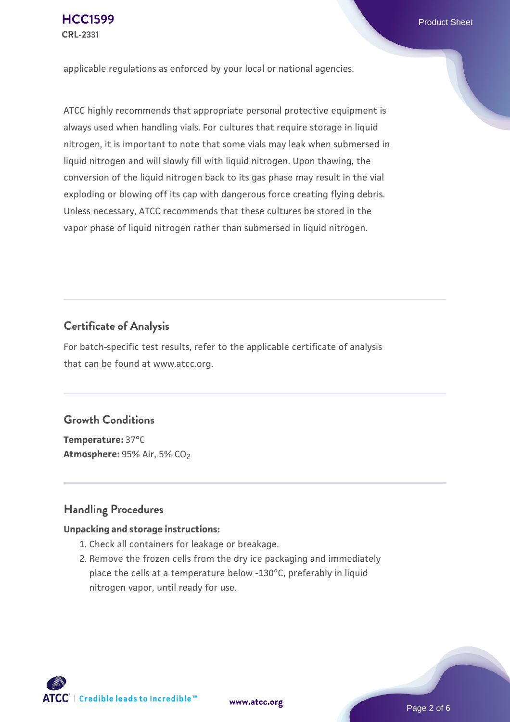applicable regulations as enforced by your local or national agencies.

ATCC highly recommends that appropriate personal protective equipment is always used when handling vials. For cultures that require storage in liquid nitrogen, it is important to note that some vials may leak when submersed in liquid nitrogen and will slowly fill with liquid nitrogen. Upon thawing, the conversion of the liquid nitrogen back to its gas phase may result in the vial exploding or blowing off its cap with dangerous force creating flying debris. Unless necessary, ATCC recommends that these cultures be stored in the vapor phase of liquid nitrogen rather than submersed in liquid nitrogen.

## **Certificate of Analysis**

For batch-specific test results, refer to the applicable certificate of analysis that can be found at www.atcc.org.

# **Growth Conditions**

**Temperature:** 37°C **Atmosphere: 95% Air, 5% CO<sub>2</sub>** 

## **Handling Procedures**

#### **Unpacking and storage instructions:**

- 1. Check all containers for leakage or breakage.
- 2. Remove the frozen cells from the dry ice packaging and immediately place the cells at a temperature below -130°C, preferably in liquid nitrogen vapor, until ready for use.

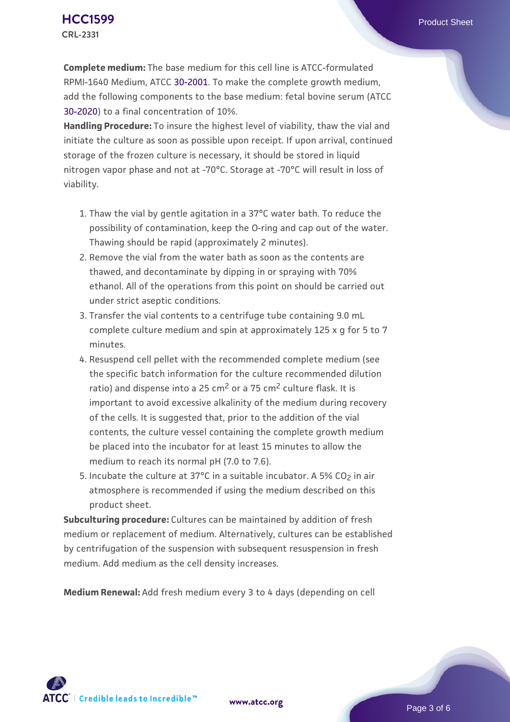**Complete medium:** The base medium for this cell line is ATCC-formulated RPMI-1640 Medium, ATCC [30-2001.](https://www.atcc.org/Products/All/30-2001.aspx) To make the complete growth medium, add the following components to the base medium: fetal bovine serum (ATCC [30-2020\)](https://www.atcc.org/Products/All/30-2020.aspx) to a final concentration of 10%.

**Handling Procedure:** To insure the highest level of viability, thaw the vial and initiate the culture as soon as possible upon receipt. If upon arrival, continued storage of the frozen culture is necessary, it should be stored in liquid nitrogen vapor phase and not at -70°C. Storage at -70°C will result in loss of viability.

- 1. Thaw the vial by gentle agitation in a 37°C water bath. To reduce the  $\,$ possibility of contamination, keep the O-ring and cap out of the water. Thawing should be rapid (approximately 2 minutes).
- 2. Remove the vial from the water bath as soon as the contents are thawed, and decontaminate by dipping in or spraying with 70% ethanol. All of the operations from this point on should be carried out under strict aseptic conditions.
- 3. Transfer the vial contents to a centrifuge tube containing 9.0 mL complete culture medium and spin at approximately 125 x g for 5 to 7 minutes.
- 4. Resuspend cell pellet with the recommended complete medium (see the specific batch information for the culture recommended dilution ratio) and dispense into a 25 cm<sup>2</sup> or a 75 cm<sup>2</sup> culture flask. It is important to avoid excessive alkalinity of the medium during recovery of the cells. It is suggested that, prior to the addition of the vial contents, the culture vessel containing the complete growth medium be placed into the incubator for at least 15 minutes to allow the medium to reach its normal pH (7.0 to 7.6).
- 5. Incubate the culture at 37°C in a suitable incubator. A 5% CO<sub>2</sub> in air atmosphere is recommended if using the medium described on this product sheet.

**Subculturing procedure:** Cultures can be maintained by addition of fresh medium or replacement of medium. Alternatively, cultures can be established by centrifugation of the suspension with subsequent resuspension in fresh medium. Add medium as the cell density increases.

**Medium Renewal:** Add fresh medium every 3 to 4 days (depending on cell



**[www.atcc.org](http://www.atcc.org)**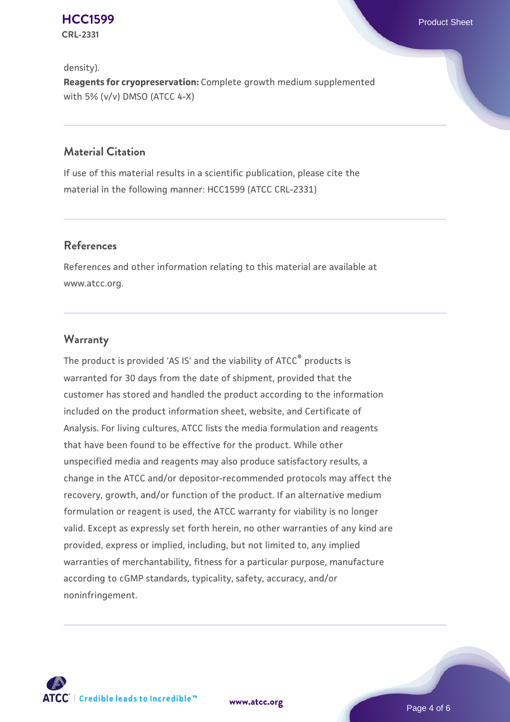**[HCC1599](https://www.atcc.org/products/crl-2331)** Product Sheet **CRL-2331**

density). **Reagents for cryopreservation:** Complete growth medium supplemented with 5% (v/v) DMSO (ATCC 4-X)

## **Material Citation**

If use of this material results in a scientific publication, please cite the material in the following manner: HCC1599 (ATCC CRL-2331)

## **References**

References and other information relating to this material are available at www.atcc.org.

#### **Warranty**

The product is provided 'AS IS' and the viability of ATCC® products is warranted for 30 days from the date of shipment, provided that the customer has stored and handled the product according to the information included on the product information sheet, website, and Certificate of Analysis. For living cultures, ATCC lists the media formulation and reagents that have been found to be effective for the product. While other unspecified media and reagents may also produce satisfactory results, a change in the ATCC and/or depositor-recommended protocols may affect the recovery, growth, and/or function of the product. If an alternative medium formulation or reagent is used, the ATCC warranty for viability is no longer valid. Except as expressly set forth herein, no other warranties of any kind are provided, express or implied, including, but not limited to, any implied warranties of merchantability, fitness for a particular purpose, manufacture according to cGMP standards, typicality, safety, accuracy, and/or noninfringement.



**[www.atcc.org](http://www.atcc.org)**

Page 4 of 6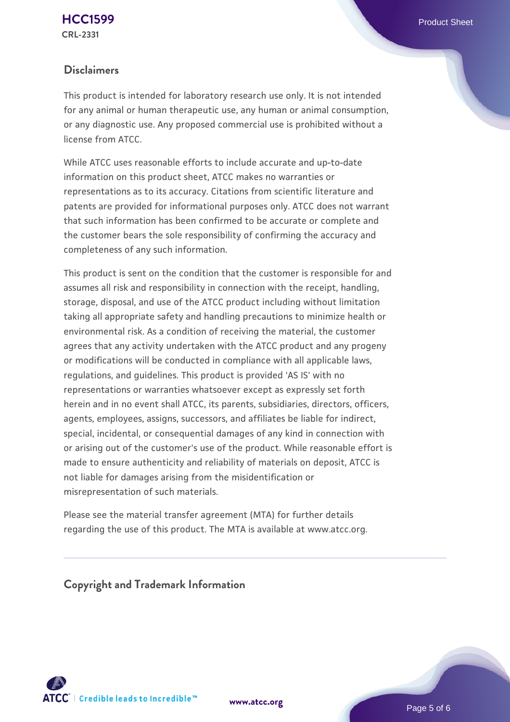### **Disclaimers**

This product is intended for laboratory research use only. It is not intended for any animal or human therapeutic use, any human or animal consumption, or any diagnostic use. Any proposed commercial use is prohibited without a license from ATCC.

While ATCC uses reasonable efforts to include accurate and up-to-date information on this product sheet, ATCC makes no warranties or representations as to its accuracy. Citations from scientific literature and patents are provided for informational purposes only. ATCC does not warrant that such information has been confirmed to be accurate or complete and the customer bears the sole responsibility of confirming the accuracy and completeness of any such information.

This product is sent on the condition that the customer is responsible for and assumes all risk and responsibility in connection with the receipt, handling, storage, disposal, and use of the ATCC product including without limitation taking all appropriate safety and handling precautions to minimize health or environmental risk. As a condition of receiving the material, the customer agrees that any activity undertaken with the ATCC product and any progeny or modifications will be conducted in compliance with all applicable laws, regulations, and guidelines. This product is provided 'AS IS' with no representations or warranties whatsoever except as expressly set forth herein and in no event shall ATCC, its parents, subsidiaries, directors, officers, agents, employees, assigns, successors, and affiliates be liable for indirect, special, incidental, or consequential damages of any kind in connection with or arising out of the customer's use of the product. While reasonable effort is made to ensure authenticity and reliability of materials on deposit, ATCC is not liable for damages arising from the misidentification or misrepresentation of such materials.

Please see the material transfer agreement (MTA) for further details regarding the use of this product. The MTA is available at www.atcc.org.

**Copyright and Trademark Information**